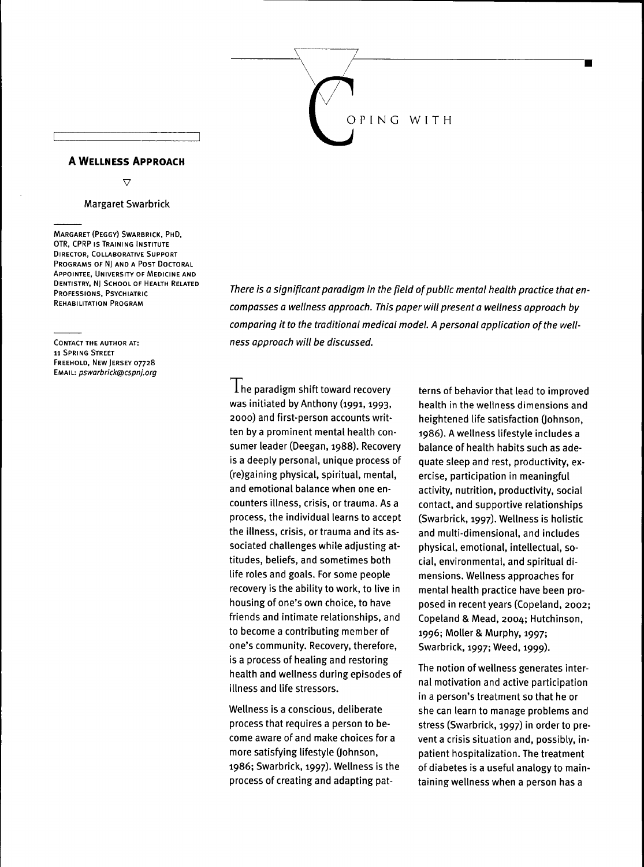

### A WELLNESS APPROACH

 $\triangledown$ 

### Margaret Swarbrick

MARGARET (PEGGY) SWARBRICK, PHD, OTR, CPRP IS TRAINING INSTITUTE DIRECTOR, COLLABORATIVE SUPPORT PROGRAMS OF NJ AND A POST DOCTORAL APPOINTEE, UNIVERSITY OF MEDICINE AND DENTISTRY, NJ SCHOOL OF HEALTH RELATED PROFESSIONS, PSYCHIATRIC REHABILITATION PROGRAM

CONTACT THE AUTHOR AT: 11 SPRING STREET FREEHOLD, NEW JERSEY 07728 EMAIL: pswarbrick@cspnj.org There is a significant paradigm in the field of public mentat health practice that encompasses a wellness approach. This paper will present a wellness approach by comparing it to the traditional medical model. A personal application of the wellness approach will be discussed.

 $l$  he paradigm shift toward recovery was initiated by Anthony (1991, 1993, 2000) and first-person accounts written by a prominent mental health consumer leader (Deegan, 1988). Recovery is a deeply personal, unique process of (re)gaining physical, spiritual, mental, and emotional balance when one encounters illness, crisis, or trauma. As a process, the individual learns to accept the illness, crisis, or trauma and its associated challenges while adjusting attitudes, beliefs, and sometimes both life roles and goals. For some people recovery is the ability to work, to live in housing of one's own choice, to have friends and intimate relationships, and to become a contributing member of one's community. Recovery, therefore, is a process of healing and restoring health and wellness during episodes of Illness and life stressors.

Wellness is a conscious, deliberate process that requires a person to become aware of and make choices for a more satisfying lifestyle (Johnson, 1986; Swarbrick, 1997). Wellness is the process of creating and adapting patterns of behavior that lead to improved health in the wellness dimensions and heightened life satisfaction (Johnson, 1986). A wellness lifestyle includes a balance of health habits such as adequate sleep and rest, productivity, exercise, participation in meaningful activity, nutrition, productivity, social contact, and supportive relationships (Swarbrick, 1997). Wellness is holistic and multi-dimensional, and includes physical, emotional, intellectual, social, environmental, and spiritual dimensions. Wellness approaches for mental health practice have been proposed in recent years (Copeland, 2002; Copeland & Mead, 2004; Hutchinson, 1996; Moller & Murphy, 1997; Swarbrick, 1997; Weed, 1999).

The notion of wellness generates internal motivation and active participation in a person's treatment so that he or she can learn to manage problems and stress (Swarbrick, 1997) in order to prevent a crisis situation and, possibly, inpatient hospitalization. The treatment of diabetes is a useful analogy to maintaining wellness when a person has a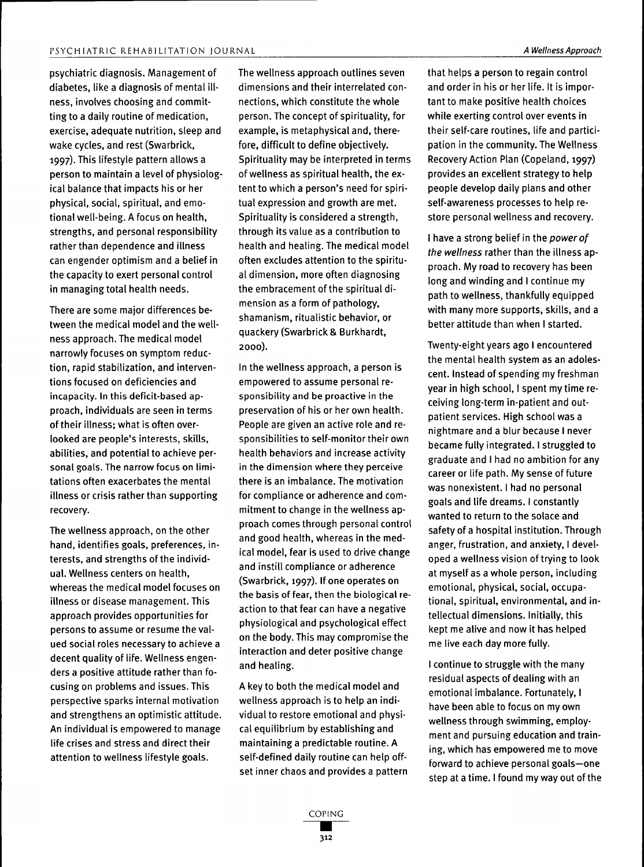psychiatric diagnosis. Management of diabetes, like a diagnosis of mental illness, involves choosing and committing to a daily routine of medication, exercise, adequate nutrition, sleep and wake cycles, and rest (Swarbrick, 1997). This lifestyle pattern allows a person to maintain a level of physiological balance that impacts his or her physical, social, spiritual, and emotional well-being. A focus on health, strengths, and personal responsibility rather than dependence and illness can engender optimism and a belief in the capacity to exert personal control in managing total health needs.

There are some major differences between the medical model and the wellness approach. The medical model narrowly focuses on symptom reduction, rapid stabilization, and interventions focused on deficiencies and incapacity. In this deficit-based approach, individuals are seen in terms of their illness; what is often overlooked are people's interests, skills, abilities, and potential to achieve personal goals. The narrow focus on limitations often exacerbates the mental illness or crisis rather than supporting recovery.

The wellness approach, on the other hand, identifies goals, preferences, interests, and strengths of the individual. Wellness centers on health, whereas the medical model focuses on illness or disease management. This approach provides opportunities for persons to assume or resume the valued social roles necessary to achieve a decent quality of life. Wellness engenders a positive attitude rather than focusing on problems and issues. This perspective sparks internal motivation and strengthens an optimistic attitude. An individual is empowered to manage life crises and stress and direct their attention to wellness lifestyle goals.

The wellness approach outlines seven dimensions and their interrelated connections, which constitute the whole person. The concept of spirituality, for example, is metaphysical and, therefore, difficult to define objectively. Spirituality may be interpreted in terms of wellness as spiritual health, the extent to which a person's need for spiritual expression and growth are met. Spirituality is considered a strength, through its value as a contribution to health and healing. The medical model often excludes attention to the spiritual dimension, more often diagnosing the embracement of the spiritual dimension as a form of pathology, shamanism, ritualistic behavior, or quackery (Swarbrick & Burkhardt, **2000).**

In the wellness approach, a person is empowered to assume personal responsibility and be proactive in the preservation of his or her own health. People are given an active role and responsibilities to self-monitor their own health behaviors and increase activity in the dimension where they perceive there is an Imbalance. The motivation for compliance or adherence and commitment to change in the wellness approach comes through personal control and good health, whereas in the medical model, fear is used to drive change and instill compliance or adherence (Swarbrick, 1997). If one operates on the basis of fear, then the biological reaction to that fear can have a negative physiological and psychological effect on the body. This may compromise the interaction and deter positive change and healing.

A key to both the medical model and wellness approach is to help an individual to restore emotional and physical equilibrium by establishing and maintaining a predictable routine. A self-defined daily routine can help offset inner chaos and provides a pattern that helps a person to regain control and order in his or her life. It is important to make positive health choices while exerting control over events in their self-care routines, life and participation in the community. The Wellness Recovery Action Plan (Copeland, 1997) provides an excellent strategy to help people develop daily plans and other self-awareness processes to help restore personal wellness and recovery.

I have a strong belief in the power of the wellness rather than the illness approach. My road to recovery has been long and winding and I continue my path to wellness, thankfully equipped with many more supports, skills, and a better attitude than when 1 started.

Twenty-eight years ago I encountered the mental health system as an adolescent. Instead of spending my freshman year in high school, I spent my time receiving long-term in-patient and outpatient services. High school was a nightmare and a blur because I never became fully integrated. I struggled to graduate and I had no ambition for any career or life path. My sense of future was nonexistent. I had no personal goals and life dreams. I constantly wanted to return to the solace and safety of a hospital institution. Through anger, frustration, and anxiety, I developed a wellness vision of trying to look at myself as a whole person, including emotional, physical, social, occupational, spiritual, environmental, and intellectual dimensions. Initially, this kept me alive and now it has helped me live each day more fully.

I continue to struggle with the many residual aspects of dealing with an emotional imbalance. Fortunately, I have been able to focus on my own wellness through swimming, employment and pursuing education and training, which has empowered me to move forward to achieve personal goals—one step at a time. I found my way out of the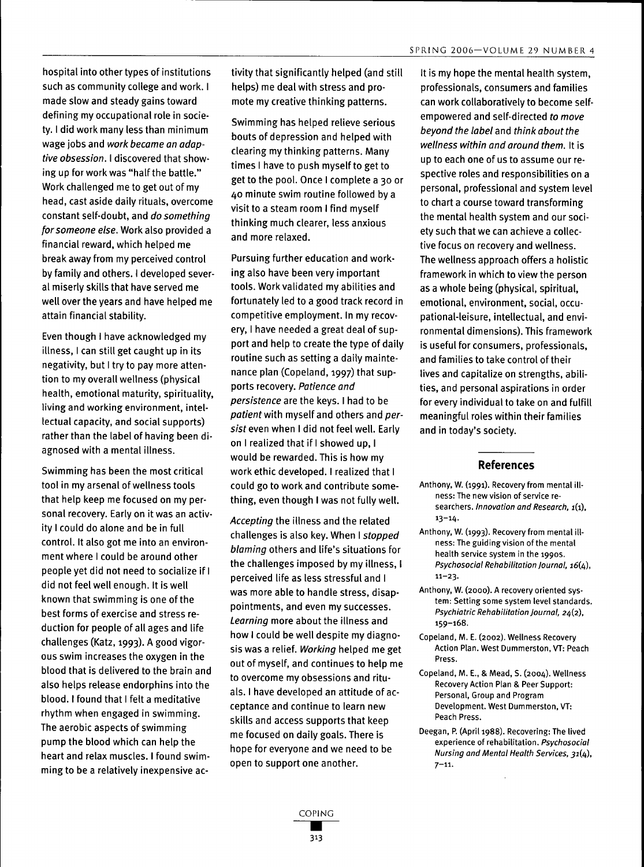hospital into other types of institutions such as community college and work. I made slow and steady gains toward defining my occupational role in society. 1 did work many less than minimum wage jobs and work became an adaptive obsession. 1 discovered that showing up for work was "half the battle." Work challenged me to get out of my head, cast aside daily rituals, overcome constant self-doubt, and do something for someone else. Work also provided a financial reward, which helped me break away from my perceived control by family and others. I developed several miserly skills that have served me well over the years and have helped me attain financial stability.

Even though I have acknowledged my illness, I can still get caught up in its negativity, but I try to pay more attention to my overall wellness (physical health, emotional maturity, spirituality, living and working environment, intellectual capacity, and social supports) rather than the label of having been diagnosed with a mental illness.

Swimming has been the most critical tool in my arsenal of wellness tools that help keep me focused on my personal recovery. Early on it was an activity I could do alone and be in full control. It also got me into an environment where I could be around other people yet did not need to socialize if I did not feel well enough. It is well known that swimming is one of the best forms of exercise and stress reduction for people of all ages and life challenges (Katz, 1993). A good vigorous swim increases the oxygen in the blood that is delivered to the brain and also helps release endorphins into the blood. I found that I felt a meditative rhythm when engaged in swimming. The aerobic aspects of swimming pump the blood which can help the heart and relax muscles. I found swimming to be a relatively inexpensive activity that significantly helped (and still helps) me deal with stress and promote my creative thinking patterns.

Swimming has helped relieve serious bouts of depression and helped with clearing my thinking patterns. Many times 1 have to push myself to get to get to the pool. Once I complete a 30 or 40 minute swim routine followed by a visit to a steam room I find myself thinking much clearer, less anxious and more relaxed.

Pursuing further education and working also have been very important tools. Work validated my abilities and fortunately led to a good track record in competitive employment. In my recovery, 1 have needed a great deal of support and help to create the type of daily routine such as setting a daily maintenance plan (Copeland, 1997) that supports recovery. Patience and persistence are the keys. I had to be patient with myself and others and persist even when I did not feel well. Early on I realized that if I showed up, I would be rewarded. This is how my work ethic developed. I realized that I could go to work and contribute something, even though I was not fully well.

Accepting the illness and the related challenges is also key. When I stopped blaming others and life's situations for the challenges imposed by my illness, I perceived life as less stressful and 1 was more able to handle stress, disappointments, and even my successes. Learning more about the illness and how I could be well despite my diagnosis was a relief. Working helped me get out of myself, and continues to help me to overcome my obsessions and rituals. I have developed an attitude of acceptance and continue to learn new skills and access supports that keep me focused on daily goals. There is hope for everyone and we need to be open to support one another.

It is my hope the mental health system, professionals, consumers and families can work collaborativety to become selfempowered and self-directed to move beyond the label and think about the wellness within and around them. It is up to each one of us to assume our respective roles and responsibilities on a personal, professional and system level to chart a course toward transforming the mental health system and our society such that we can achieve a collective focus on recovery and wellness. The wellness approach offers a holistic framework in which to view the person as a whole being (physical, spiritual, emotional, environment, social, occupational-leisure, intellectual, and environmental dimensions). This framework is useful for consumers, professionals, and families to take control of their lives and capitalize on strengths, abilities, and personal aspirations in order for every individual to take on and fulfill meaningful roles within their families and in today's society.

### **References**

- Anthony, W. (1991). Recovery from mental illness: The new vision of service researchers. Innovation and Research, 1(1),  $13 - 14.$
- Anthony, W. (1993). Recovery from mental illness: The guiding vision of the mental health service system in the 1990s. Psychosocial Rehabilitation Journal, 16(4),  $11 - 23$ .
- Anthony, W. (2000). A recovery oriented system: Setting some system level standards. Psychiatric Rehabilitation Journal, 24(2), 159-168.
- Copeland, M. E. (2002). Wellness Recovery Action Plan. West Dummerston, VT: Peach Press.
- Copeland, M. E., & Mead, S. (2004). Wellness Recovery Action Plan & Peer Support: Personal, Group and Program Development. West Dummerston, VT: Peach Press.
- Deegan, P. (April 1988). Recovering: The lived experience of rehabilitation. Psychosociai Nursing and Mental Health Services, 33(4),  $7 - 11.$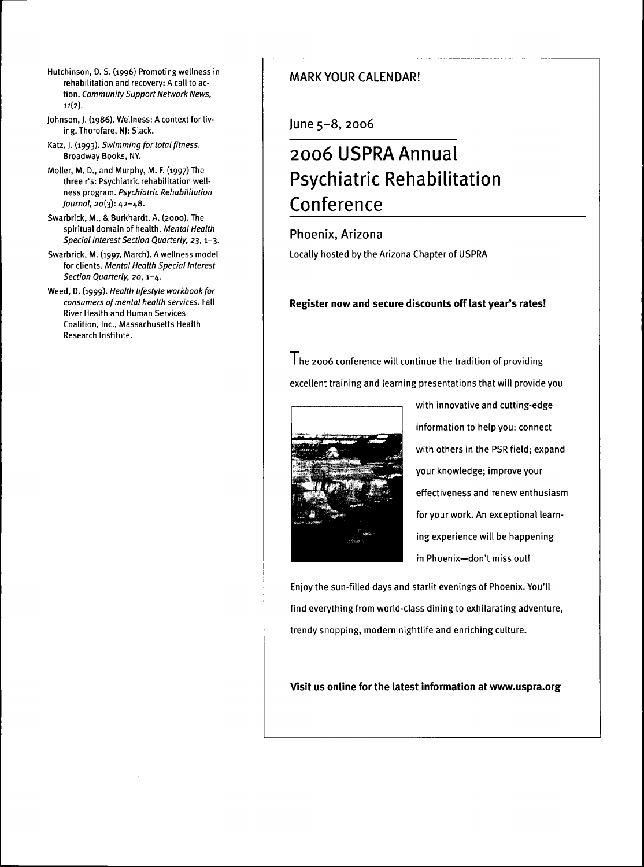- Hutchinson, D. S. (1996) Promoting weilness in rehabilitation and recovery: A call to action. Community Support Network News,  $11(2)$ .
- Johnson,). (1986). Wellness: A context for living. Thorofare, NJ: Slack.
- Katz, J. (1993). Swimming for total fitness. Broadway Books, NY.
- Moller, M. D., and Murphy, M. F. (1997) The three r's: Psychiatric rehabilitation wellness program. Psychiatric Rehabilitation lournal, 20(3): 42-48.
- Swarbrick, M., & Burkhardt, A. (2000). The spiritual domain of health. Mental Health Special Interest Section Quarterly, 23,1-3.
- Swarbrick, M. (1997, March). A wellness model for clients. Mental Health Special Interest Section Quarterly, 20, 1-4.
- Weed, D. (1999). Health lifestyle workbook for consumers of mental health services. Fall River Health and Human Services Coalition, Inc., Massachusetts Health Research Institute.

## MARK YOUR CALENDAR!

June 5-8,2006

# **2006 USPRA Annual Psychiatric Rehabilitation Conference**

## Phoenix, Arizona

Locally hosted by the Arizona Chapter of USPRA

## **Register now and secure discounts off last year's rates!**

**I** he 2006 conference will continue the tradition of providing excellent training and learning presentations that will provide you



with innovative and cutting-edge information to help you: connect with others in the PSR field; expand your knowledge; improve your effectiveness and renew enthusiasm for your work. An exceptional learning experience will be happening in Phoenix—don't miss out!

Enjoy the sun-filled days and starlit evenings of Phoenix. You'll find everything from world-class dining to exhilarating adventure, trendy shopping, modern nightlife and enriching culture.

### **Visit us online for the latest information at www.uspra.org**